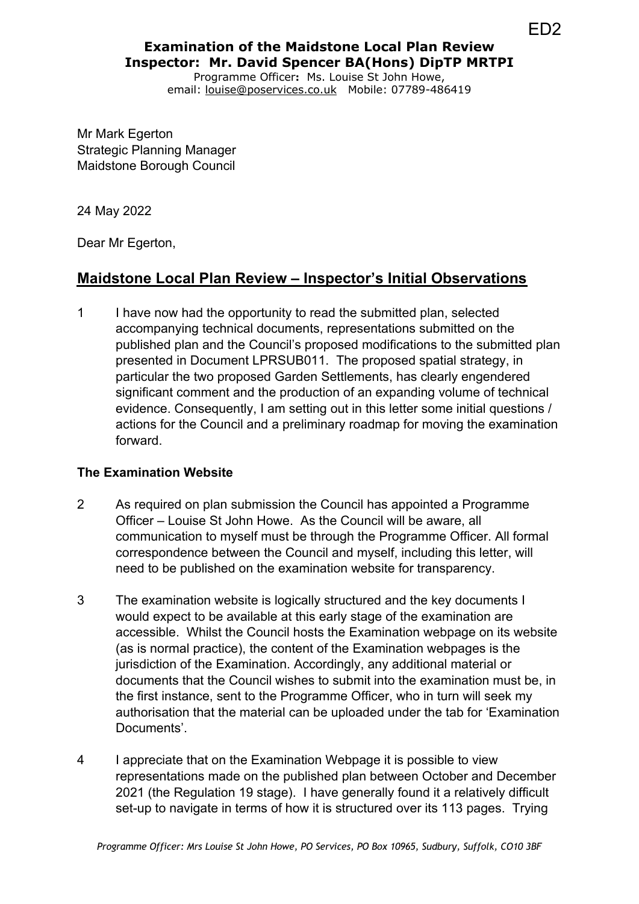# **Examination of the Maidstone Local Plan Review Inspector: Mr. David Spencer BA(Hons) DipTP MRTPI**

Programme Officer**:** Ms. Louise St John Howe, email: louise@poservices.co.uk Mobile: 07789-486419

Mr Mark Egerton Strategic Planning Manager Maidstone Borough Council

24 May 2022

Dear Mr Egerton,

## **Maidstone Local Plan Review – Inspector's Initial Observations**

1 I have now had the opportunity to read the submitted plan, selected accompanying technical documents, representations submitted on the published plan and the Council's proposed modifications to the submitted plan presented in Document LPRSUB011. The proposed spatial strategy, in particular the two proposed Garden Settlements, has clearly engendered significant comment and the production of an expanding volume of technical evidence. Consequently, I am setting out in this letter some initial questions / actions for the Council and a preliminary roadmap for moving the examination forward.

#### **The Examination Website**

- 2 As required on plan submission the Council has appointed a Programme Officer – Louise St John Howe. As the Council will be aware, all communication to myself must be through the Programme Officer. All formal correspondence between the Council and myself, including this letter, will need to be published on the examination website for transparency.
- 3 The examination website is logically structured and the key documents I would expect to be available at this early stage of the examination are accessible. Whilst the Council hosts the Examination webpage on its website (as is normal practice), the content of the Examination webpages is the jurisdiction of the Examination. Accordingly, any additional material or documents that the Council wishes to submit into the examination must be, in the first instance, sent to the Programme Officer, who in turn will seek my authorisation that the material can be uploaded under the tab for 'Examination Documents'.
- 4 I appreciate that on the Examination Webpage it is possible to view representations made on the published plan between October and December 2021 (the Regulation 19 stage). I have generally found it a relatively difficult set-up to navigate in terms of how it is structured over its 113 pages. Trying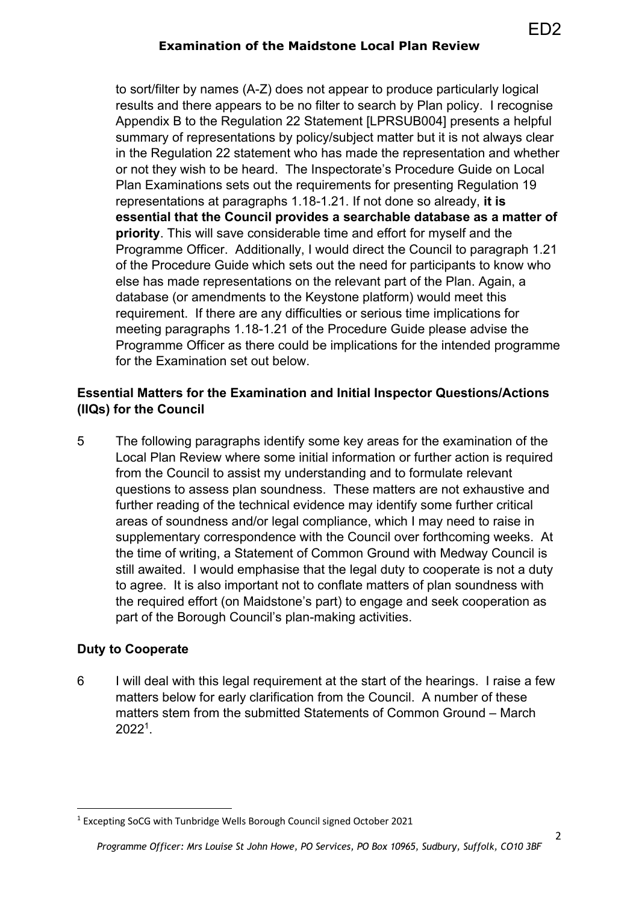## **Examination of the Maidstone Local Plan Review**

ED2

to sort/filter by names (A-Z) does not appear to produce particularly logical results and there appears to be no filter to search by Plan policy. I recognise Appendix B to the Regulation 22 Statement [LPRSUB004] presents a helpful summary of representations by policy/subject matter but it is not always clear in the Regulation 22 statement who has made the representation and whether or not they wish to be heard. The Inspectorate's Procedure Guide on Local Plan Examinations sets out the requirements for presenting Regulation 19 representations at paragraphs 1.18-1.21. If not done so already, **it is essential that the Council provides a searchable database as a matter of priority**. This will save considerable time and effort for myself and the Programme Officer. Additionally, I would direct the Council to paragraph 1.21 of the Procedure Guide which sets out the need for participants to know who else has made representations on the relevant part of the Plan. Again, a database (or amendments to the Keystone platform) would meet this requirement. If there are any difficulties or serious time implications for meeting paragraphs 1.18-1.21 of the Procedure Guide please advise the Programme Officer as there could be implications for the intended programme for the Examination set out below.

### **Essential Matters for the Examination and Initial Inspector Questions/Actions (IIQs) for the Council**

5 The following paragraphs identify some key areas for the examination of the Local Plan Review where some initial information or further action is required from the Council to assist my understanding and to formulate relevant questions to assess plan soundness. These matters are not exhaustive and further reading of the technical evidence may identify some further critical areas of soundness and/or legal compliance, which I may need to raise in supplementary correspondence with the Council over forthcoming weeks. At the time of writing, a Statement of Common Ground with Medway Council is still awaited. I would emphasise that the legal duty to cooperate is not a duty to agree. It is also important not to conflate matters of plan soundness with the required effort (on Maidstone's part) to engage and seek cooperation as part of the Borough Council's plan-making activities.

## **Duty to Cooperate**

6 I will deal with this legal requirement at the start of the hearings. I raise a few matters below for early clarification from the Council. A number of these matters stem from the submitted Statements of Common Ground – March 20221.

<sup>1</sup> Excepting SoCG with Tunbridge Wells Borough Council signed October 2021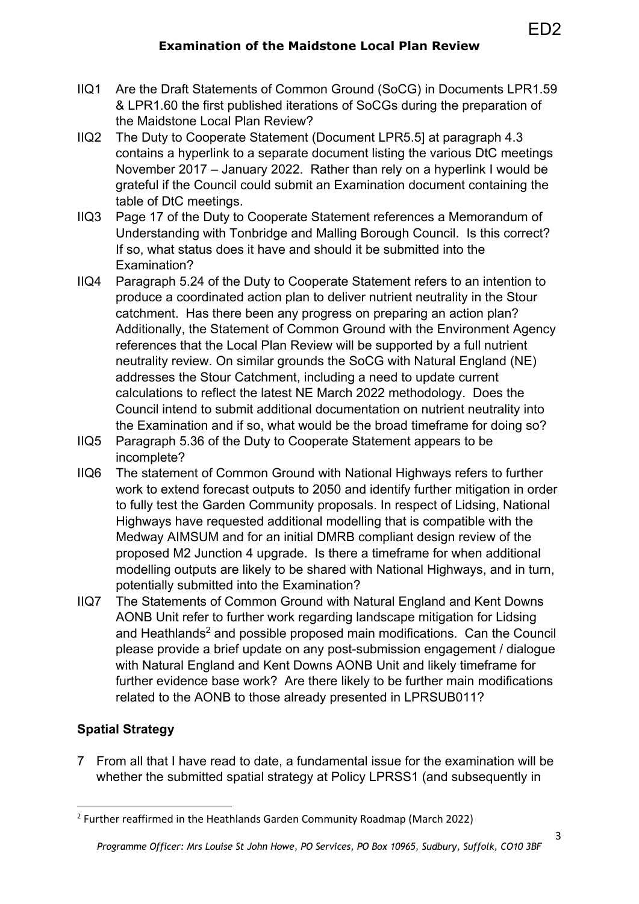- IIQ1 Are the Draft Statements of Common Ground (SoCG) in Documents LPR1.59 & LPR1.60 the first published iterations of SoCGs during the preparation of the Maidstone Local Plan Review?
- IIQ2 The Duty to Cooperate Statement (Document LPR5.5] at paragraph 4.3 contains a hyperlink to a separate document listing the various DtC meetings November 2017 – January 2022. Rather than rely on a hyperlink I would be grateful if the Council could submit an Examination document containing the table of DtC meetings.
- IIQ3 Page 17 of the Duty to Cooperate Statement references a Memorandum of Understanding with Tonbridge and Malling Borough Council. Is this correct? If so, what status does it have and should it be submitted into the Examination?
- IIQ4 Paragraph 5.24 of the Duty to Cooperate Statement refers to an intention to produce a coordinated action plan to deliver nutrient neutrality in the Stour catchment. Has there been any progress on preparing an action plan? Additionally, the Statement of Common Ground with the Environment Agency references that the Local Plan Review will be supported by a full nutrient neutrality review. On similar grounds the SoCG with Natural England (NE) addresses the Stour Catchment, including a need to update current calculations to reflect the latest NE March 2022 methodology. Does the Council intend to submit additional documentation on nutrient neutrality into the Examination and if so, what would be the broad timeframe for doing so?
- IIQ5 Paragraph 5.36 of the Duty to Cooperate Statement appears to be incomplete?
- IIQ6 The statement of Common Ground with National Highways refers to further work to extend forecast outputs to 2050 and identify further mitigation in order to fully test the Garden Community proposals. In respect of Lidsing, National Highways have requested additional modelling that is compatible with the Medway AIMSUM and for an initial DMRB compliant design review of the proposed M2 Junction 4 upgrade. Is there a timeframe for when additional modelling outputs are likely to be shared with National Highways, and in turn, potentially submitted into the Examination?
- IIQ7 The Statements of Common Ground with Natural England and Kent Downs AONB Unit refer to further work regarding landscape mitigation for Lidsing and Heathlands<sup>2</sup> and possible proposed main modifications. Can the Council please provide a brief update on any post-submission engagement / dialogue with Natural England and Kent Downs AONB Unit and likely timeframe for further evidence base work? Are there likely to be further main modifications related to the AONB to those already presented in LPRSUB011?

# **Spatial Strategy**

7 From all that I have read to date, a fundamental issue for the examination will be whether the submitted spatial strategy at Policy LPRSS1 (and subsequently in

ED2

 $2$  Further reaffirmed in the Heathlands Garden Community Roadmap (March 2022)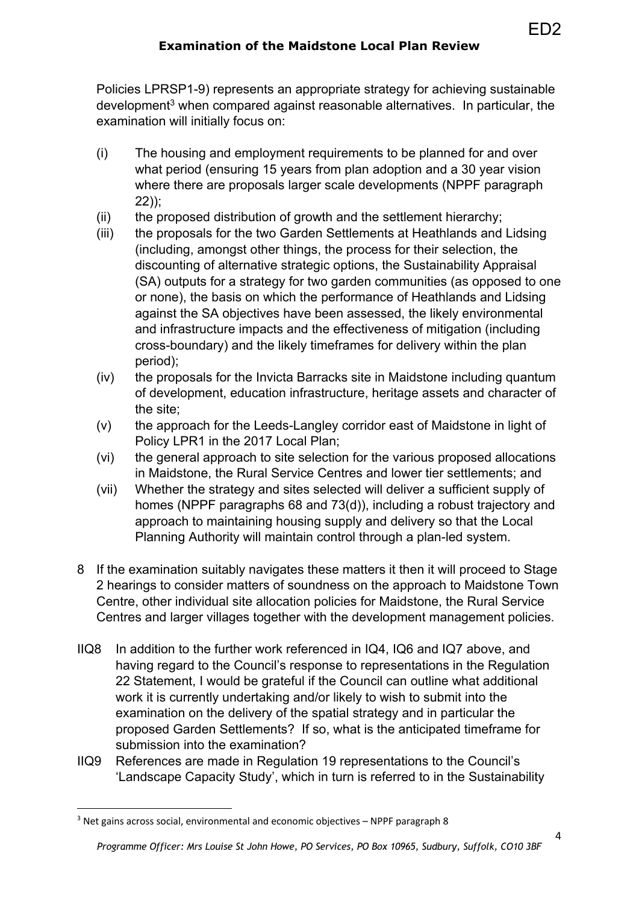Policies LPRSP1-9) represents an appropriate strategy for achieving sustainable development<sup>3</sup> when compared against reasonable alternatives. In particular, the examination will initially focus on:

- (i) The housing and employment requirements to be planned for and over what period (ensuring 15 years from plan adoption and a 30 year vision where there are proposals larger scale developments (NPPF paragraph 22));
- (ii) the proposed distribution of growth and the settlement hierarchy;
- (iii) the proposals for the two Garden Settlements at Heathlands and Lidsing (including, amongst other things, the process for their selection, the discounting of alternative strategic options, the Sustainability Appraisal (SA) outputs for a strategy for two garden communities (as opposed to one or none), the basis on which the performance of Heathlands and Lidsing against the SA objectives have been assessed, the likely environmental and infrastructure impacts and the effectiveness of mitigation (including cross-boundary) and the likely timeframes for delivery within the plan period);
- (iv) the proposals for the Invicta Barracks site in Maidstone including quantum of development, education infrastructure, heritage assets and character of the site;
- (v) the approach for the Leeds-Langley corridor east of Maidstone in light of Policy LPR1 in the 2017 Local Plan;
- (vi) the general approach to site selection for the various proposed allocations in Maidstone, the Rural Service Centres and lower tier settlements; and
- (vii) Whether the strategy and sites selected will deliver a sufficient supply of homes (NPPF paragraphs 68 and 73(d)), including a robust trajectory and approach to maintaining housing supply and delivery so that the Local Planning Authority will maintain control through a plan-led system.
- 8 If the examination suitably navigates these matters it then it will proceed to Stage 2 hearings to consider matters of soundness on the approach to Maidstone Town Centre, other individual site allocation policies for Maidstone, the Rural Service Centres and larger villages together with the development management policies.
- IIQ8 In addition to the further work referenced in IQ4, IQ6 and IQ7 above, and having regard to the Council's response to representations in the Regulation 22 Statement, I would be grateful if the Council can outline what additional work it is currently undertaking and/or likely to wish to submit into the examination on the delivery of the spatial strategy and in particular the proposed Garden Settlements? If so, what is the anticipated timeframe for submission into the examination?
- IIQ9 References are made in Regulation 19 representations to the Council's 'Landscape Capacity Study', which in turn is referred to in the Sustainability

ED2

 $3$  Net gains across social, environmental and economic objectives – NPPF paragraph 8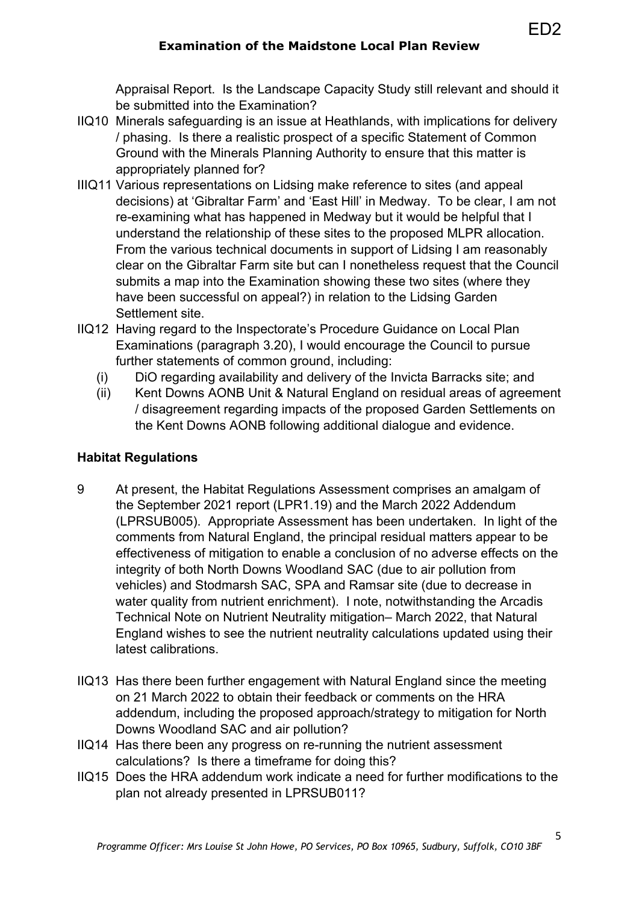## **Examination of the Maidstone Local Plan Review**

Appraisal Report. Is the Landscape Capacity Study still relevant and should it be submitted into the Examination?

- IIQ10 Minerals safeguarding is an issue at Heathlands, with implications for delivery / phasing. Is there a realistic prospect of a specific Statement of Common Ground with the Minerals Planning Authority to ensure that this matter is appropriately planned for?
- IIIQ11 Various representations on Lidsing make reference to sites (and appeal decisions) at 'Gibraltar Farm' and 'East Hill' in Medway. To be clear, I am not re-examining what has happened in Medway but it would be helpful that I understand the relationship of these sites to the proposed MLPR allocation. From the various technical documents in support of Lidsing I am reasonably clear on the Gibraltar Farm site but can I nonetheless request that the Council submits a map into the Examination showing these two sites (where they have been successful on appeal?) in relation to the Lidsing Garden Settlement site.
- IIQ12 Having regard to the Inspectorate's Procedure Guidance on Local Plan Examinations (paragraph 3.20), I would encourage the Council to pursue further statements of common ground, including:
	- (i) DiO regarding availability and delivery of the Invicta Barracks site; and
	- (ii) Kent Downs AONB Unit & Natural England on residual areas of agreement / disagreement regarding impacts of the proposed Garden Settlements on the Kent Downs AONB following additional dialogue and evidence.

#### **Habitat Regulations**

- 9 At present, the Habitat Regulations Assessment comprises an amalgam of the September 2021 report (LPR1.19) and the March 2022 Addendum (LPRSUB005). Appropriate Assessment has been undertaken. In light of the comments from Natural England, the principal residual matters appear to be effectiveness of mitigation to enable a conclusion of no adverse effects on the integrity of both North Downs Woodland SAC (due to air pollution from vehicles) and Stodmarsh SAC, SPA and Ramsar site (due to decrease in water quality from nutrient enrichment). I note, notwithstanding the Arcadis Technical Note on Nutrient Neutrality mitigation– March 2022, that Natural England wishes to see the nutrient neutrality calculations updated using their latest calibrations.
- IIQ13 Has there been further engagement with Natural England since the meeting on 21 March 2022 to obtain their feedback or comments on the HRA addendum, including the proposed approach/strategy to mitigation for North Downs Woodland SAC and air pollution?
- IIQ14 Has there been any progress on re-running the nutrient assessment calculations? Is there a timeframe for doing this?
- IIQ15 Does the HRA addendum work indicate a need for further modifications to the plan not already presented in LPRSUB011?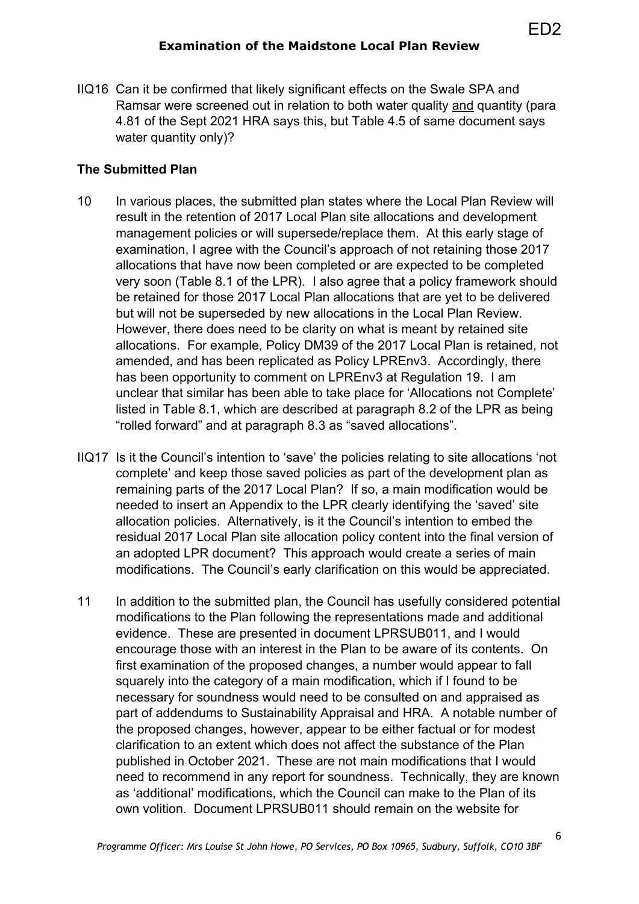IIQ16 Can it be confirmed that likely significant effects on the Swale SPA and Ramsar were screened out in relation to both water quality and quantity (para 4.81 of the Sept 2021 HRA says this, but Table 4.5 of same document says water quantity only)?

#### **The Submitted Plan**

- 10 In various places, the submitted plan states where the Local Plan Review will result in the retention of 2017 Local Plan site allocations and development management policies or will supersede/replace them. At this early stage of examination, I agree with the Council's approach of not retaining those 2017 allocations that have now been completed or are expected to be completed very soon (Table 8.1 of the LPR). I also agree that a policy framework should be retained for those 2017 Local Plan allocations that are yet to be delivered but will not be superseded by new allocations in the Local Plan Review. However, there does need to be clarity on what is meant by retained site allocations. For example, Policy DM39 of the 2017 Local Plan is retained, not amended, and has been replicated as Policy LPREnv3. Accordingly, there has been opportunity to comment on LPREnv3 at Regulation 19. I am unclear that similar has been able to take place for 'Allocations not Complete' listed in Table 8.1, which are described at paragraph 8.2 of the LPR as being "rolled forward" and at paragraph 8.3 as "saved allocations".
- IIQ17 Is it the Council's intention to 'save' the policies relating to site allocations 'not complete' and keep those saved policies as part of the development plan as remaining parts of the 2017 Local Plan? If so, a main modification would be needed to insert an Appendix to the LPR clearly identifying the 'saved' site allocation policies. Alternatively, is it the Council's intention to embed the residual 2017 Local Plan site allocation policy content into the final version of an adopted LPR document? This approach would create a series of main modifications. The Council's early clarification on this would be appreciated.
- 11 In addition to the submitted plan, the Council has usefully considered potential modifications to the Plan following the representations made and additional evidence. These are presented in document LPRSUB011, and I would encourage those with an interest in the Plan to be aware of its contents. On first examination of the proposed changes, a number would appear to fall squarely into the category of a main modification, which if I found to be necessary for soundness would need to be consulted on and appraised as part of addendums to Sustainability Appraisal and HRA. A notable number of the proposed changes, however, appear to be either factual or for modest clarification to an extent which does not affect the substance of the Plan published in October 2021. These are not main modifications that I would need to recommend in any report for soundness. Technically, they are known as 'additional' modifications, which the Council can make to the Plan of its own volition. Document LPRSUB011 should remain on the website for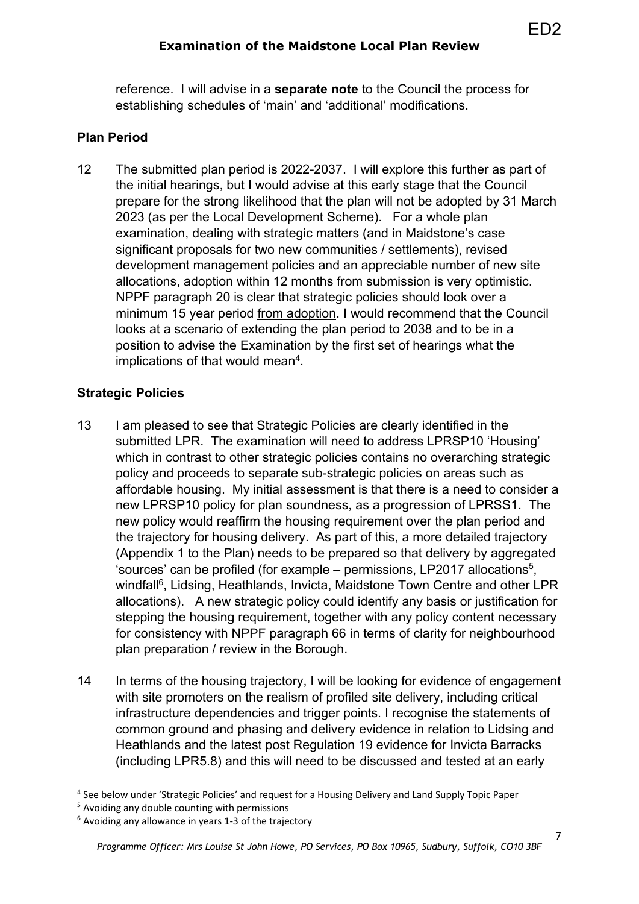reference. I will advise in a **separate note** to the Council the process for establishing schedules of 'main' and 'additional' modifications.

### **Plan Period**

12 The submitted plan period is 2022-2037. I will explore this further as part of the initial hearings, but I would advise at this early stage that the Council prepare for the strong likelihood that the plan will not be adopted by 31 March 2023 (as per the Local Development Scheme). For a whole plan examination, dealing with strategic matters (and in Maidstone's case significant proposals for two new communities / settlements), revised development management policies and an appreciable number of new site allocations, adoption within 12 months from submission is very optimistic. NPPF paragraph 20 is clear that strategic policies should look over a minimum 15 year period from adoption. I would recommend that the Council looks at a scenario of extending the plan period to 2038 and to be in a position to advise the Examination by the first set of hearings what the implications of that would mean<sup>4</sup>.

## **Strategic Policies**

- 13 I am pleased to see that Strategic Policies are clearly identified in the submitted LPR. The examination will need to address LPRSP10 'Housing' which in contrast to other strategic policies contains no overarching strategic policy and proceeds to separate sub-strategic policies on areas such as affordable housing. My initial assessment is that there is a need to consider a new LPRSP10 policy for plan soundness, as a progression of LPRSS1. The new policy would reaffirm the housing requirement over the plan period and the trajectory for housing delivery. As part of this, a more detailed trajectory (Appendix 1 to the Plan) needs to be prepared so that delivery by aggregated 'sources' can be profiled (for example  $-$  permissions, LP2017 allocations<sup>5</sup>, windfall<sup>6</sup>, Lidsing, Heathlands, Invicta, Maidstone Town Centre and other LPR allocations). A new strategic policy could identify any basis or justification for stepping the housing requirement, together with any policy content necessary for consistency with NPPF paragraph 66 in terms of clarity for neighbourhood plan preparation / review in the Borough.
- 14 In terms of the housing trajectory, I will be looking for evidence of engagement with site promoters on the realism of profiled site delivery, including critical infrastructure dependencies and trigger points. I recognise the statements of common ground and phasing and delivery evidence in relation to Lidsing and Heathlands and the latest post Regulation 19 evidence for Invicta Barracks (including LPR5.8) and this will need to be discussed and tested at an early

<sup>4</sup> See below under 'Strategic Policies' and request for a Housing Delivery and Land Supply Topic Paper

<sup>5</sup> Avoiding any double counting with permissions

 $6$  Avoiding any allowance in years 1-3 of the trajectory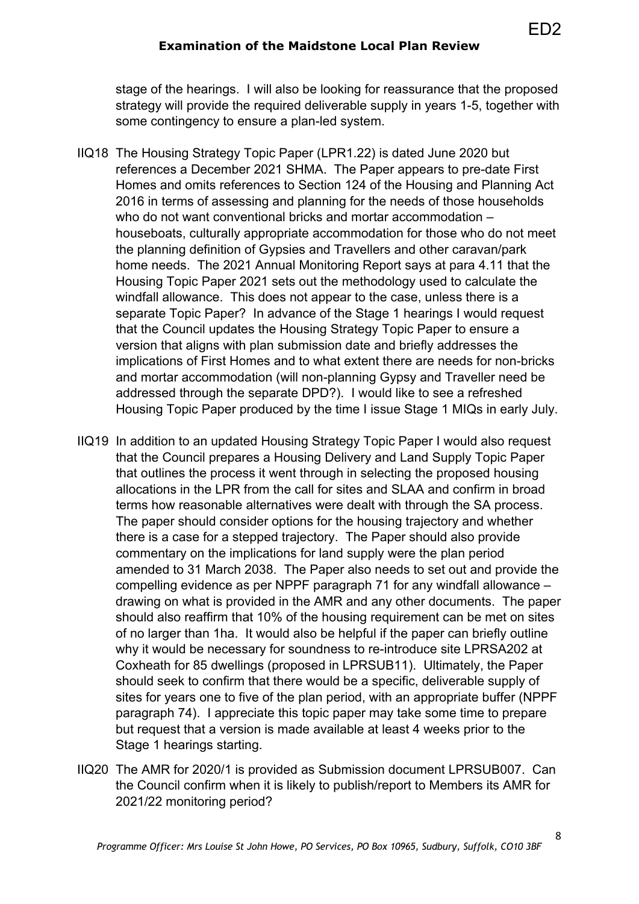#### **Examination of the Maidstone Local Plan Review**

stage of the hearings. I will also be looking for reassurance that the proposed strategy will provide the required deliverable supply in years 1-5, together with some contingency to ensure a plan-led system.

- IIQ18 The Housing Strategy Topic Paper (LPR1.22) is dated June 2020 but references a December 2021 SHMA. The Paper appears to pre-date First Homes and omits references to Section 124 of the Housing and Planning Act 2016 in terms of assessing and planning for the needs of those households who do not want conventional bricks and mortar accommodation – houseboats, culturally appropriate accommodation for those who do not meet the planning definition of Gypsies and Travellers and other caravan/park home needs. The 2021 Annual Monitoring Report says at para 4.11 that the Housing Topic Paper 2021 sets out the methodology used to calculate the windfall allowance. This does not appear to the case, unless there is a separate Topic Paper? In advance of the Stage 1 hearings I would request that the Council updates the Housing Strategy Topic Paper to ensure a version that aligns with plan submission date and briefly addresses the implications of First Homes and to what extent there are needs for non-bricks and mortar accommodation (will non-planning Gypsy and Traveller need be addressed through the separate DPD?). I would like to see a refreshed Housing Topic Paper produced by the time I issue Stage 1 MIQs in early July.
- IIQ19 In addition to an updated Housing Strategy Topic Paper I would also request that the Council prepares a Housing Delivery and Land Supply Topic Paper that outlines the process it went through in selecting the proposed housing allocations in the LPR from the call for sites and SLAA and confirm in broad terms how reasonable alternatives were dealt with through the SA process. The paper should consider options for the housing trajectory and whether there is a case for a stepped trajectory. The Paper should also provide commentary on the implications for land supply were the plan period amended to 31 March 2038. The Paper also needs to set out and provide the compelling evidence as per NPPF paragraph 71 for any windfall allowance – drawing on what is provided in the AMR and any other documents. The paper should also reaffirm that 10% of the housing requirement can be met on sites of no larger than 1ha. It would also be helpful if the paper can briefly outline why it would be necessary for soundness to re-introduce site LPRSA202 at Coxheath for 85 dwellings (proposed in LPRSUB11). Ultimately, the Paper should seek to confirm that there would be a specific, deliverable supply of sites for years one to five of the plan period, with an appropriate buffer (NPPF paragraph 74). I appreciate this topic paper may take some time to prepare but request that a version is made available at least 4 weeks prior to the Stage 1 hearings starting.
- IIQ20 The AMR for 2020/1 is provided as Submission document LPRSUB007. Can the Council confirm when it is likely to publish/report to Members its AMR for 2021/22 monitoring period?